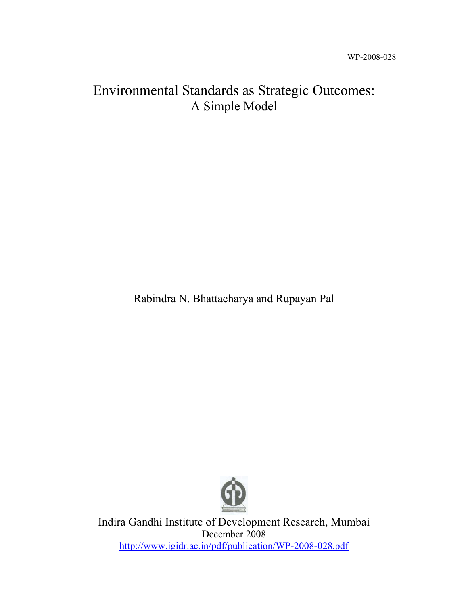# Environmental Standards as Strategic Outcomes: A Simple Model

Rabindra N. Bhattacharya and Rupayan Pal



Indira Gandhi Institute of Development Research, Mumbai December 2008 http://www.igidr.ac.in/pdf/publication/WP-2008-028.pdf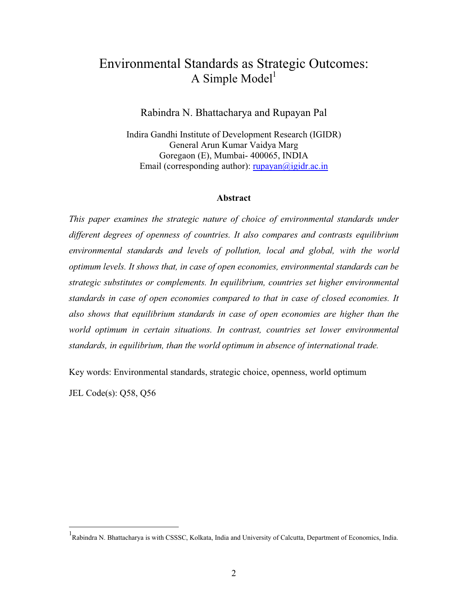## Environmental Standards as Strategic Outcomes: A Simple  $Model<sup>1</sup>$

#### Rabindra N. Bhattacharya and Rupayan Pal

Indira Gandhi Institute of Development Research (IGIDR) General Arun Kumar Vaidya Marg Goregaon (E), Mumbai- 400065, INDIA Email (corresponding author):  $rupayan@igidr.ac.in$ 

#### **Abstract**

*This paper examines the strategic nature of choice of environmental standards under different degrees of openness of countries. It also compares and contrasts equilibrium environmental standards and levels of pollution, local and global, with the world optimum levels. It shows that, in case of open economies, environmental standards can be strategic substitutes or complements. In equilibrium, countries set higher environmental standards in case of open economies compared to that in case of closed economies. It also shows that equilibrium standards in case of open economies are higher than the world optimum in certain situations. In contrast, countries set lower environmental standards, in equilibrium, than the world optimum in absence of international trade.*

Key words: Environmental standards, strategic choice, openness, world optimum

JEL Code(s): Q58, Q56

<sup>&</sup>lt;sup>1</sup> Rabindra N. Bhattacharya is with CSSSC, Kolkata, India and University of Calcutta, Department of Economics, India.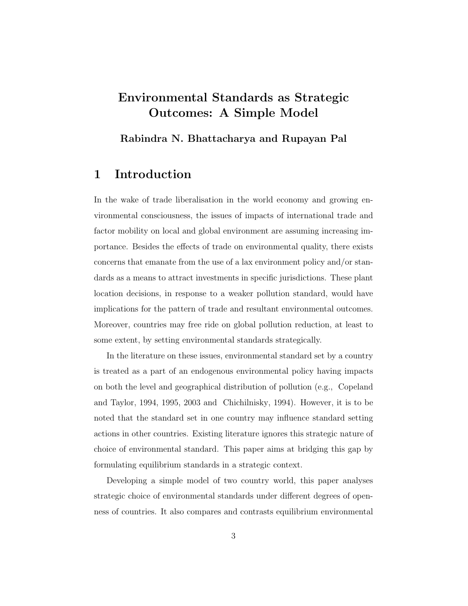## **Environmental Standards as Strategic Outcomes: A Simple Model**

**Rabindra N. Bhattacharya and Rupayan Pal**

### **1 Introduction**

In the wake of trade liberalisation in the world economy and growing environmental consciousness, the issues of impacts of international trade and factor mobility on local and global environment are assuming increasing importance. Besides the effects of trade on environmental quality, there exists concerns that emanate from the use of a lax environment policy and/or standards as a means to attract investments in specific jurisdictions. These plant location decisions, in response to a weaker pollution standard, would have implications for the pattern of trade and resultant environmental outcomes. Moreover, countries may free ride on global pollution reduction, at least to some extent, by setting environmental standards strategically.

In the literature on these issues, environmental standard set by a country is treated as a part of an endogenous environmental policy having impacts on both the level and geographical distribution of pollution (e.g., Copeland and Taylor, 1994, 1995, 2003 and Chichilnisky, 1994). However, it is to be noted that the standard set in one country may influence standard setting actions in other countries. Existing literature ignores this strategic nature of choice of environmental standard. This paper aims at bridging this gap by formulating equilibrium standards in a strategic context.

Developing a simple model of two country world, this paper analyses strategic choice of environmental standards under different degrees of openness of countries. It also compares and contrasts equilibrium environmental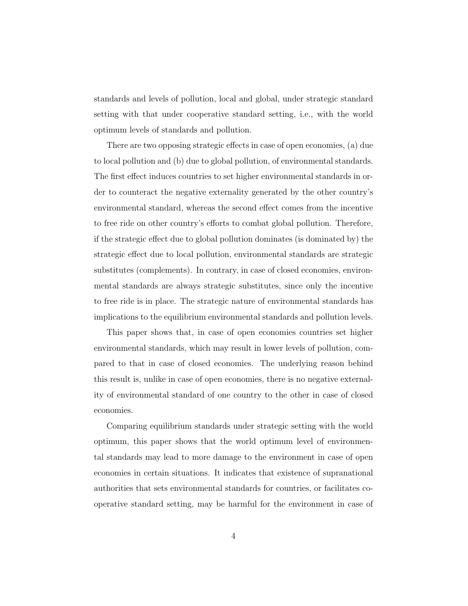standards and levels of pollution, local and global, under strategic standard setting with that under cooperative standard setting, i.e., with the world optimum levels of standards and pollution.

There are two opposing strategic effects in case of open economies, (a) due to local pollution and (b) due to global pollution, of environmental standards. The first effect induces countries to set higher environmental standards in order to counteract the negative externality generated by the other country's environmental standard, whereas the second effect comes from the incentive to free ride on other country's efforts to combat global pollution. Therefore, if the strategic effect due to global pollution dominates (is dominated by) the strategic effect due to local pollution, environmental standards are strategic substitutes (complements). In contrary, in case of closed economies, environmental standards are always strategic substitutes, since only the incentive to free ride is in place. The strategic nature of environmental standards has implications to the equilibrium environmental standards and pollution levels.

This paper shows that, in case of open economies countries set higher environmental standards, which may result in lower levels of pollution, compared to that in case of closed economies. The underlying reason behind this result is, unlike in case of open economies, there is no negative externality of environmental standard of one country to the other in case of closed economies.

Comparing equilibrium standards under strategic setting with the world optimum, this paper shows that the world optimum level of environmental standards may lead to more damage to the environment in case of open economies in certain situations. It indicates that existence of supranational authorities that sets environmental standards for countries, or facilitates cooperative standard setting, may be harmful for the environment in case of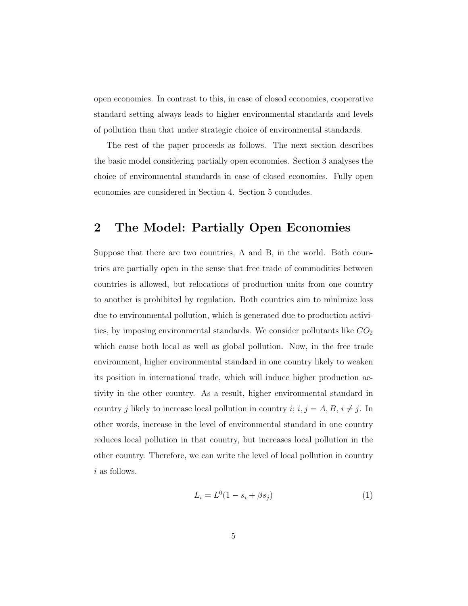open economies. In contrast to this, in case of closed economies, cooperative standard setting always leads to higher environmental standards and levels of pollution than that under strategic choice of environmental standards.

The rest of the paper proceeds as follows. The next section describes the basic model considering partially open economies. Section 3 analyses the choice of environmental standards in case of closed economies. Fully open economies are considered in Section 4. Section 5 concludes.

#### **2 The Model: Partially Open Economies**

Suppose that there are two countries, A and B, in the world. Both countries are partially open in the sense that free trade of commodities between countries is allowed, but relocations of production units from one country to another is prohibited by regulation. Both countries aim to minimize loss due to environmental pollution, which is generated due to production activities, by imposing environmental standards. We consider pollutants like  $CO<sub>2</sub>$ which cause both local as well as global pollution. Now, in the free trade environment, higher environmental standard in one country likely to weaken its position in international trade, which will induce higher production activity in the other country. As a result, higher environmental standard in country j likely to increase local pollution in country  $i; i, j = A, B, i \neq j$ . In other words, increase in the level of environmental standard in one country reduces local pollution in that country, but increases local pollution in the other country. Therefore, we can write the level of local pollution in country i as follows.

$$
L_i = L^0(1 - s_i + \beta s_j)
$$
 (1)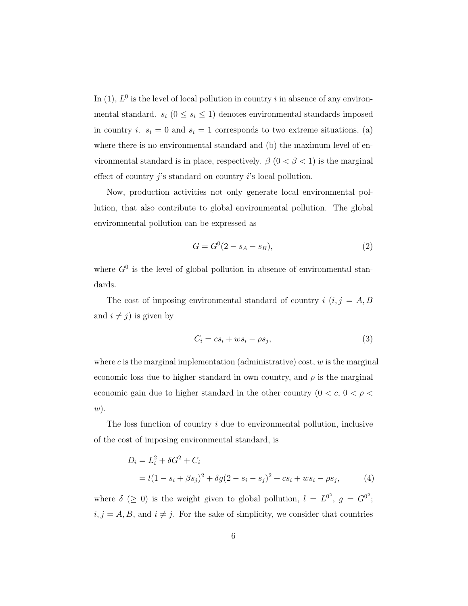In  $(1)$ ,  $L^0$  is the level of local pollution in country i in absence of any environmental standard.  $s_i$  ( $0 \leq s_i \leq 1$ ) denotes environmental standards imposed in country *i.*  $s_i = 0$  and  $s_i = 1$  corresponds to two extreme situations, (a) where there is no environmental standard and (b) the maximum level of environmental standard is in place, respectively.  $\beta$  (0 <  $\beta$  < 1) is the marginal effect of country  $j$ 's standard on country  $i$ 's local pollution.

Now, production activities not only generate local environmental pollution, that also contribute to global environmental pollution. The global environmental pollution can be expressed as

$$
G = G^{0}(2 - s_{A} - s_{B}), \tag{2}
$$

where  $G^0$  is the level of global pollution in absence of environmental standards.

The cost of imposing environmental standard of country  $i$   $(i, j = A, B)$ and  $i \neq j$ ) is given by

$$
C_i = cs_i + ws_i - \rho s_j,
$$
\n(3)

where  $c$  is the marginal implementation (administrative) cost,  $w$  is the marginal economic loss due to higher standard in own country, and  $\rho$  is the marginal economic gain due to higher standard in the other country  $(0 < c, 0 < \rho <$ w).

The loss function of country  $i$  due to environmental pollution, inclusive of the cost of imposing environmental standard, is

$$
D_i = L_i^2 + \delta G^2 + C_i
$$
  
=  $l(1 - s_i + \beta s_j)^2 + \delta g(2 - s_i - s_j)^2 + cs_i + ws_i - \rho s_j,$  (4)

where  $\delta$  ( $\geq$  0) is the weight given to global pollution,  $l = L^{0^2}$ ,  $g = G^{0^2}$ ;  $i, j = A, B$ , and  $i \neq j$ . For the sake of simplicity, we consider that countries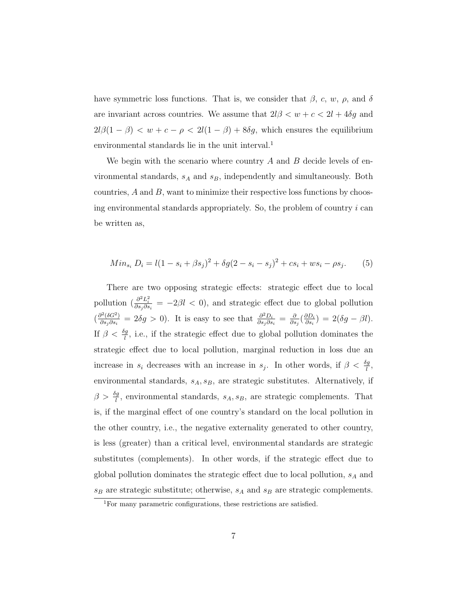have symmetric loss functions. That is, we consider that  $\beta$ , c, w,  $\rho$ , and  $\delta$ are invariant across countries. We assume that  $2l\beta < w + c < 2l + 4\delta g$  and  $2l\beta(1 - \beta) < w + c - \rho < 2l(1 - \beta) + 8\delta g$ , which ensures the equilibrium environmental standards lie in the unit interval.<sup>1</sup>

We begin with the scenario where country  $A$  and  $B$  decide levels of environmental standards,  $s_A$  and  $s_B$ , independently and simultaneously. Both countries,  $A$  and  $B$ , want to minimize their respective loss functions by choosing environmental standards appropriately. So, the problem of country  $i$  can be written as,

$$
Min_{s_i} D_i = l(1 - s_i + \beta s_j)^2 + \delta g(2 - s_i - s_j)^2 + cs_i + ws_i - \rho s_j.
$$
 (5)

There are two opposing strategic effects: strategic effect due to local pollution  $\left(\frac{\partial^2 L_i^2}{\partial s_j \partial s_i} \right) = -2\beta l < 0$ , and strategic effect due to global pollution  $\left(\frac{\partial^2 (\delta G^2)}{\partial s_j \partial s_i}\right) = 2\delta g > 0$ ). It is easy to see that  $\frac{\partial^2 D_i}{\partial s_j \partial s_i} = \frac{\partial}{\partial s_j}$  $\left(\frac{\partial D_i}{\partial s_i}\right) = 2(\delta g - \beta l).$ If  $\beta < \frac{\delta g}{l}$ , i.e., if the strategic effect due to global pollution dominates the strategic effect due to local pollution, marginal reduction in loss due an increase in  $s_i$  decreases with an increase in  $s_j$ . In other words, if  $\beta < \frac{og}{l}$ , environmental standards,  $s_A, s_B$ , are strategic substitutes. Alternatively, if  $\beta > \frac{\delta g}{l}$ , environmental standards,  $s_A, s_B$ , are strategic complements. That is, if the marginal effect of one country's standard on the local pollution in the other country, i.e., the negative externality generated to other country, is less (greater) than a critical level, environmental standards are strategic substitutes (complements). In other words, if the strategic effect due to global pollution dominates the strategic effect due to local pollution,  $s_{\mathcal{A}}$  and  $s_B$  are strategic substitute; otherwise,  $s_A$  and  $s_B$  are strategic complements.

<sup>1</sup>For many parametric configurations, these restrictions are satisfied.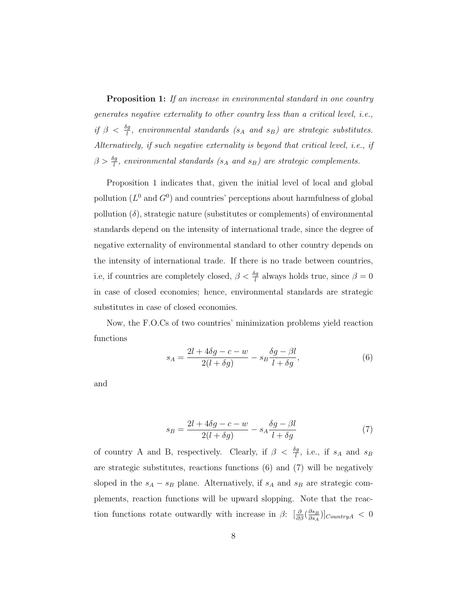**Proposition 1:** If an increase in environmental standard in one country generates negative externality to other country less than a critical level, i.e., if  $\beta < \frac{sg}{l}$ , environmental standards (s<sub>A</sub> and s<sub>B</sub>) are strategic substitutes. Alternatively, if such negative externality is beyond that critical level, i.e., if  $\beta > \frac{\delta g}{l}$ , environmental standards (s<sub>A</sub> and s<sub>B</sub>) are strategic complements.

Proposition 1 indicates that, given the initial level of local and global pollution  $(L^0$  and  $G^0$ ) and countries' perceptions about harmfulness of global pollution  $(\delta)$ , strategic nature (substitutes or complements) of environmental standards depend on the intensity of international trade, since the degree of negative externality of environmental standard to other country depends on the intensity of international trade. If there is no trade between countries, i.e, if countries are completely closed,  $\beta < \frac{og}{l}$  always holds true, since  $\beta = 0$ in case of closed economies; hence, environmental standards are strategic substitutes in case of closed economies.

Now, the F.O.Cs of two countries' minimization problems yield reaction functions

$$
s_A = \frac{2l + 4\delta g - c - w}{2(l + \delta g)} - s_B \frac{\delta g - \beta l}{l + \delta g},\tag{6}
$$

and

$$
s_B = \frac{2l + 4\delta g - c - w}{2(l + \delta g)} - s_A \frac{\delta g - \beta l}{l + \delta g} \tag{7}
$$

of country A and B, respectively. Clearly, if  $\beta < \frac{\delta g}{l}$ , i.e., if  $s_A$  and  $s_B$ are strategic substitutes, reactions functions (6) and (7) will be negatively sloped in the  $s_A - s_B$  plane. Alternatively, if  $s_A$  and  $s_B$  are strategic complements, reaction functions will be upward slopping. Note that the reaction functions rotate outwardly with increase in  $\beta$ :  $\left[\frac{\partial}{\partial \beta} \left(\frac{\partial s_B}{\partial s_A}\right)\right]_{CountryA} < 0$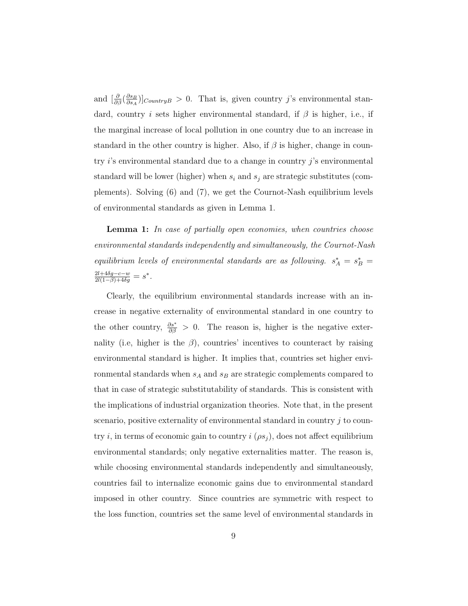and  $\left[\frac{\partial}{\partial \beta} \left(\frac{\partial s_B}{\partial s_A}\right)\right]$ *CountryB* > 0. That is, given country j's environmental standard, country i sets higher environmental standard, if  $\beta$  is higher, i.e., if the marginal increase of local pollution in one country due to an increase in standard in the other country is higher. Also, if  $\beta$  is higher, change in country  $i$ 's environmental standard due to a change in country  $j$ 's environmental standard will be lower (higher) when  $s_i$  and  $s_j$  are strategic substitutes (complements). Solving (6) and (7), we get the Cournot-Nash equilibrium levels of environmental standards as given in Lemma 1.

**Lemma 1:** In case of partially open economies, when countries choose environmental standards independently and simultaneously, the Cournot-Nash equilibrium levels of environmental standards are as following.  $s_A^* = s_B^* =$  $\frac{2l+4\delta g-c-w}{2l(1-\beta)+4\delta g} = s^*.$ 

Clearly, the equilibrium environmental standards increase with an increase in negative externality of environmental standard in one country to the other country,  $\frac{\partial s^*}{\partial \beta} > 0$ . The reason is, higher is the negative externality (i.e, higher is the  $\beta$ ), countries' incentives to counteract by raising environmental standard is higher. It implies that, countries set higher environmental standards when  $s_A$  and  $s_B$  are strategic complements compared to that in case of strategic substitutability of standards. This is consistent with the implications of industrial organization theories. Note that, in the present scenario, positive externality of environmental standard in country j to country i, in terms of economic gain to country  $i(\rho s_j)$ , does not affect equilibrium environmental standards; only negative externalities matter. The reason is, while choosing environmental standards independently and simultaneously, countries fail to internalize economic gains due to environmental standard imposed in other country. Since countries are symmetric with respect to the loss function, countries set the same level of environmental standards in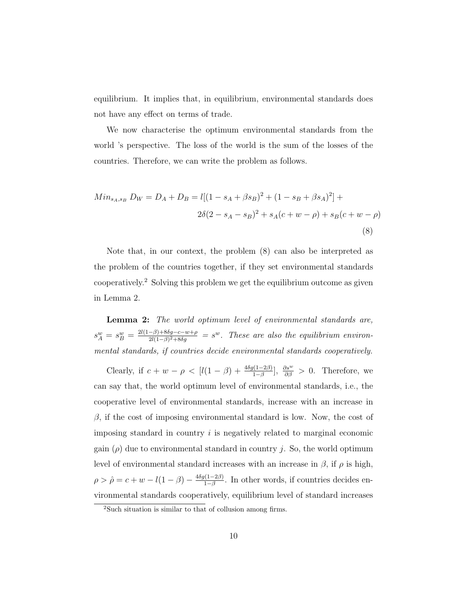equilibrium. It implies that, in equilibrium, environmental standards does not have any effect on terms of trade.

We now characterise the optimum environmental standards from the world 's perspective. The loss of the world is the sum of the losses of the countries. Therefore, we can write the problem as follows.

$$
Min_{s_A, s_B} D_W = D_A + D_B = l[(1 - s_A + \beta s_B)^2 + (1 - s_B + \beta s_A)^2] +
$$
  

$$
2\delta(2 - s_A - s_B)^2 + s_A(c + w - \rho) + s_B(c + w - \rho)
$$
  
(8)

Note that, in our context, the problem (8) can also be interpreted as the problem of the countries together, if they set environmental standards cooperatively.<sup>2</sup> Solving this problem we get the equilibrium outcome as given in Lemma 2.

**Lemma 2:** The world optimum level of environmental standards are,  $s_A^w = s_B^w = \frac{2l(1-\beta)+8\delta g - c - w + \rho}{2l(1-\beta)^2 + 8\delta g} = s^w$ . These are also the equilibrium environmental standards, if countries decide environmental standards cooperatively.

Clearly, if  $c + w - \rho < [l(1 - \beta) + \frac{4\delta g(1 - 2\beta)}{1 - \beta}], \frac{\partial s^w}{\partial \beta} > 0$ . Therefore, we can say that, the world optimum level of environmental standards, i.e., the cooperative level of environmental standards, increase with an increase in  $β$ , if the cost of imposing environmental standard is low. Now, the cost of imposing standard in country  $i$  is negatively related to marginal economic gain  $(\rho)$  due to environmental standard in country j. So, the world optimum level of environmental standard increases with an increase in  $\beta$ , if  $\rho$  is high,  $\rho > \hat{\rho} = c + w - l(1 - \beta) - \frac{4\delta g(1 - 2\beta)}{1 - \beta}$ . In other words, if countries decides environmental standards cooperatively, equilibrium level of standard increases

<sup>2</sup>Such situation is similar to that of collusion among firms.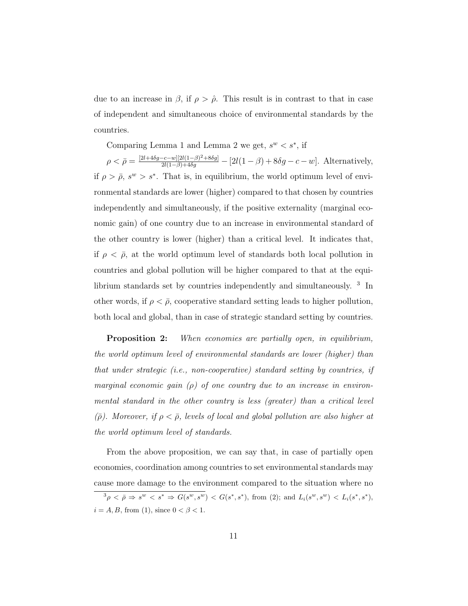due to an increase in  $\beta$ , if  $\rho > \hat{\rho}$ . This result is in contrast to that in case of independent and simultaneous choice of environmental standards by the countries.

Comparing Lemma 1 and Lemma 2 we get,  $s^w < s^*$ , if

 $\rho < \bar{\rho} = \frac{[2l + 4\delta g - c - w][2l(1 - \beta)^2 + 8\delta g]}{2l(1 - \beta) + 4\delta g} - [2l(1 - \beta) + 8\delta g - c - w]$ . Alternatively, if  $\rho > \bar{\rho}, s^w > s^*$ . That is, in equilibrium, the world optimum level of environmental standards are lower (higher) compared to that chosen by countries independently and simultaneously, if the positive externality (marginal economic gain) of one country due to an increase in environmental standard of the other country is lower (higher) than a critical level. It indicates that, if  $\rho < \bar{\rho}$ , at the world optimum level of standards both local pollution in countries and global pollution will be higher compared to that at the equilibrium standards set by countries independently and simultaneously. <sup>3</sup> In other words, if  $\rho < \bar{\rho}$ , cooperative standard setting leads to higher pollution, both local and global, than in case of strategic standard setting by countries.

**Proposition 2:** When economies are partially open, in equilibrium, the world optimum level of environmental standards are lower (higher) than that under strategic (i.e., non-cooperative) standard setting by countries, if marginal economic gain  $(\rho)$  of one country due to an increase in environmental standard in the other country is less (greater) than a critical level  $(\bar{\rho})$ . Moreover, if  $\rho < \bar{\rho}$ , levels of local and global pollution are also higher at the world optimum level of standards.

From the above proposition, we can say that, in case of partially open economies, coordination among countries to set environmental standards may cause more damage to the environment compared to the situation where no

 $3\rho \le \bar{\rho} \Rightarrow s^w \le s^* \Rightarrow G(s^w, s^w) < G(s^*, s^*)$ , from (2); and  $L_i(s^w, s^w) < L_i(s^*, s^*)$ ,  $i = A, B$ , from (1), since  $0 < \beta < 1$ .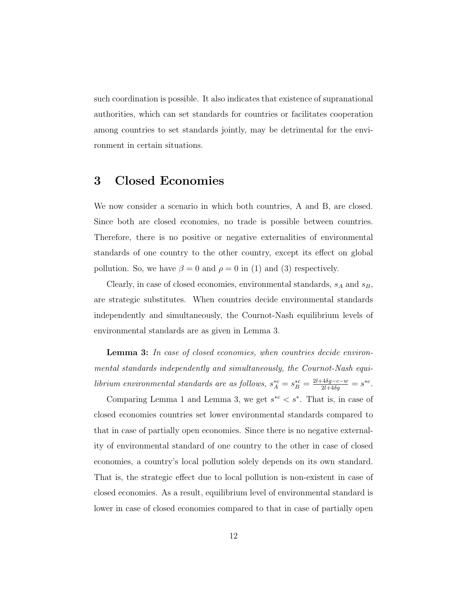such coordination is possible. It also indicates that existence of supranational authorities, which can set standards for countries or facilitates cooperation among countries to set standards jointly, may be detrimental for the environment in certain situations.

#### **3 Closed Economies**

We now consider a scenario in which both countries, A and B, are closed. Since both are closed economies, no trade is possible between countries. Therefore, there is no positive or negative externalities of environmental standards of one country to the other country, except its effect on global pollution. So, we have  $\beta = 0$  and  $\rho = 0$  in (1) and (3) respectively.

Clearly, in case of closed economies, environmental standards,  $s_A$  and  $s_B$ , are strategic substitutes. When countries decide environmental standards independently and simultaneously, the Cournot-Nash equilibrium levels of environmental standards are as given in Lemma 3.

**Lemma 3:** In case of closed economies, when countries decide environmental standards independently and simultaneously, the Cournot-Nash equilibrium environmental standards are as follows,  $s_A^* = s_B^{*c} = \frac{2l + 4\delta g - c - w}{2l + 4\delta g} = s^{*c}$ .

Comparing Lemma 1 and Lemma 3, we get  $s^{*c} < s^*$ . That is, in case of closed economies countries set lower environmental standards compared to that in case of partially open economies. Since there is no negative externality of environmental standard of one country to the other in case of closed economies, a country's local pollution solely depends on its own standard. That is, the strategic effect due to local pollution is non-existent in case of closed economies. As a result, equilibrium level of environmental standard is lower in case of closed economies compared to that in case of partially open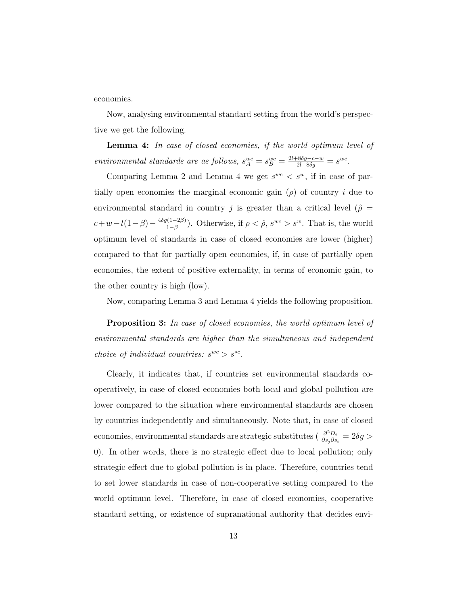economies.

Now, analysing environmental standard setting from the world's perspective we get the following.

**Lemma 4:** In case of closed economies, if the world optimum level of environmental standards are as follows,  $s_A^{wc} = s_B^{wc} = \frac{2l + 8\delta g - c - w}{2l + 8\delta g} = s^{wc}$ .

Comparing Lemma 2 and Lemma 4 we get  $s^{wc} < s^{w}$ , if in case of partially open economies the marginal economic gain  $(\rho)$  of country i due to environmental standard in country j is greater than a critical level ( $\hat{\rho}$  =  $c+w-l(1-\beta)-\frac{4\delta g(1-2\beta)}{1-\beta}$ ). Otherwise, if  $\rho < \hat{\rho}$ ,  $s^{wc} > s^w$ . That is, the world optimum level of standards in case of closed economies are lower (higher) compared to that for partially open economies, if, in case of partially open economies, the extent of positive externality, in terms of economic gain, to the other country is high (low).

Now, comparing Lemma 3 and Lemma 4 yields the following proposition.

**Proposition 3:** In case of closed economies, the world optimum level of environmental standards are higher than the simultaneous and independent choice of individual countries:  $s^{wc} > s^{*c}$ .

Clearly, it indicates that, if countries set environmental standards cooperatively, in case of closed economies both local and global pollution are lower compared to the situation where environmental standards are chosen by countries independently and simultaneously. Note that, in case of closed economies, environmental standards are strategic substitutes ( $\frac{\partial^2 D_i}{\partial s_j \partial s_i} = 2\delta g >$ 0). In other words, there is no strategic effect due to local pollution; only strategic effect due to global pollution is in place. Therefore, countries tend to set lower standards in case of non-cooperative setting compared to the world optimum level. Therefore, in case of closed economies, cooperative standard setting, or existence of supranational authority that decides envi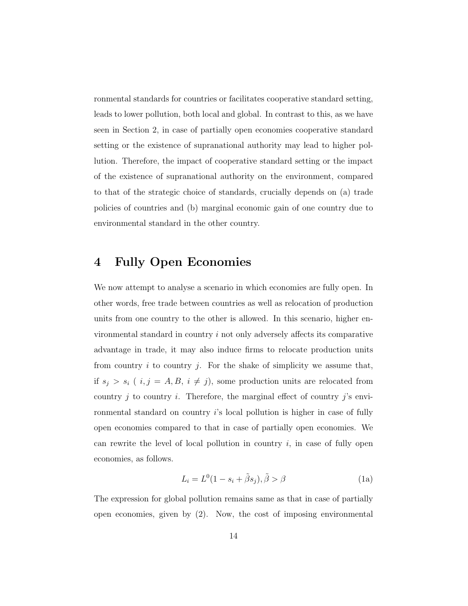ronmental standards for countries or facilitates cooperative standard setting, leads to lower pollution, both local and global. In contrast to this, as we have seen in Section 2, in case of partially open economies cooperative standard setting or the existence of supranational authority may lead to higher pollution. Therefore, the impact of cooperative standard setting or the impact of the existence of supranational authority on the environment, compared to that of the strategic choice of standards, crucially depends on (a) trade policies of countries and (b) marginal economic gain of one country due to environmental standard in the other country.

### **4 Fully Open Economies**

We now attempt to analyse a scenario in which economies are fully open. In other words, free trade between countries as well as relocation of production units from one country to the other is allowed. In this scenario, higher environmental standard in country  $i$  not only adversely affects its comparative advantage in trade, it may also induce firms to relocate production units from country  $i$  to country  $j$ . For the shake of simplicity we assume that, if  $s_j > s_i$  (  $i, j = A, B, i \neq j$ ), some production units are relocated from country  $j$  to country  $i$ . Therefore, the marginal effect of country  $j$ 's environmental standard on country i's local pollution is higher in case of fully open economies compared to that in case of partially open economies. We can rewrite the level of local pollution in country  $i$ , in case of fully open economies, as follows.

$$
L_i = L^0(1 - s_i + \tilde{\beta}s_j), \tilde{\beta} > \beta
$$
 (1a)

The expression for global pollution remains same as that in case of partially open economies, given by (2). Now, the cost of imposing environmental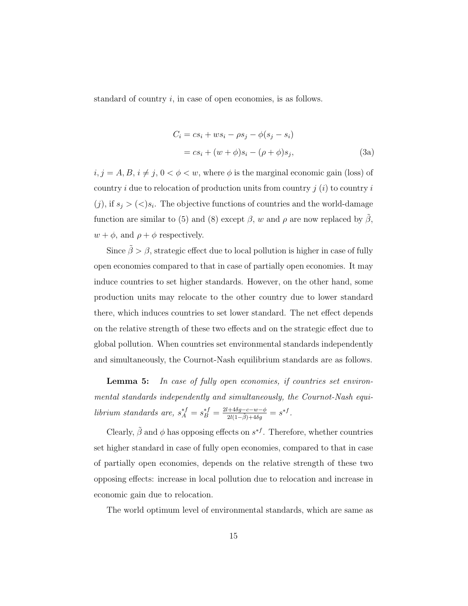standard of country  $i$ , in case of open economies, is as follows.

$$
C_i = cs_i + ws_i - \rho s_j - \phi(s_j - s_i)
$$
  
= cs<sub>i</sub> + (w + \phi)s<sub>i</sub> - (p + \phi)s<sub>j</sub>, (3a)

 $i, j = A, B, i \neq j, 0 < \phi < w$ , where  $\phi$  is the marginal economic gain (loss) of country i due to relocation of production units from country  $j(i)$  to country i  $(j)$ , if  $s_j > \langle \langle s_i, \rangle$ . The objective functions of countries and the world-damage function are similar to (5) and (8) except  $\beta$ , w and  $\rho$  are now replaced by  $\tilde{\beta}$ ,  $w + \phi$ , and  $\rho + \phi$  respectively.

Since  $\tilde{\beta} > \beta$ , strategic effect due to local pollution is higher in case of fully open economies compared to that in case of partially open economies. It may induce countries to set higher standards. However, on the other hand, some production units may relocate to the other country due to lower standard there, which induces countries to set lower standard. The net effect depends on the relative strength of these two effects and on the strategic effect due to global pollution. When countries set environmental standards independently and simultaneously, the Cournot-Nash equilibrium standards are as follows.

**Lemma 5:** In case of fully open economies, if countries set environmental standards independently and simultaneously, the Cournot-Nash equilibrium standards are,  $s_A^{\ast f} = s_B^{\ast f} = \frac{2l + 4\delta g - c - w - \phi}{2l(1 - \tilde{\beta}) + 4\delta g} = s^{\ast f}.$ 

Clearly,  $\tilde{\beta}$  and  $\phi$  has opposing effects on  $s^{*f}$ . Therefore, whether countries set higher standard in case of fully open economies, compared to that in case of partially open economies, depends on the relative strength of these two opposing effects: increase in local pollution due to relocation and increase in economic gain due to relocation.

The world optimum level of environmental standards, which are same as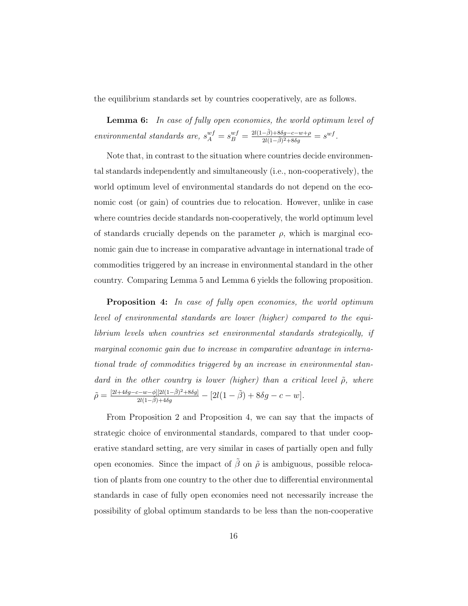the equilibrium standards set by countries cooperatively, are as follows.

**Lemma 6:** In case of fully open economies, the world optimum level of environmental standards are,  $s_A^{wf} = s_B^{wf} = \frac{2l(1-\tilde{\beta})+8\delta g-c-w+\rho}{2l(1-\tilde{\beta})^2+8\delta g} = s^{wf}.$ 

Note that, in contrast to the situation where countries decide environmental standards independently and simultaneously (i.e., non-cooperatively), the world optimum level of environmental standards do not depend on the economic cost (or gain) of countries due to relocation. However, unlike in case where countries decide standards non-cooperatively, the world optimum level of standards crucially depends on the parameter  $\rho$ , which is marginal economic gain due to increase in comparative advantage in international trade of commodities triggered by an increase in environmental standard in the other country. Comparing Lemma 5 and Lemma 6 yields the following proposition.

**Proposition 4:** In case of fully open economies, the world optimum level of environmental standards are lower (higher) compared to the equilibrium levels when countries set environmental standards strategically, if marginal economic gain due to increase in comparative advantage in international trade of commodities triggered by an increase in environmental standard in the other country is lower (higher) than a critical level  $\tilde{\rho}$ , where  $\tilde{\rho} = \frac{[2l + 4\delta g - c - w - \phi][2l(1 - \tilde{\beta})^2 + 8\delta g]}{2l(1 - \tilde{\beta}) + 4\delta g} - [2l(1 - \tilde{\beta}) + 8\delta g - c - w].$ 

From Proposition 2 and Proposition 4, we can say that the impacts of strategic choice of environmental standards, compared to that under cooperative standard setting, are very similar in cases of partially open and fully open economies. Since the impact of  $\tilde{\beta}$  on  $\tilde{\rho}$  is ambiguous, possible relocation of plants from one country to the other due to differential environmental standards in case of fully open economies need not necessarily increase the possibility of global optimum standards to be less than the non-cooperative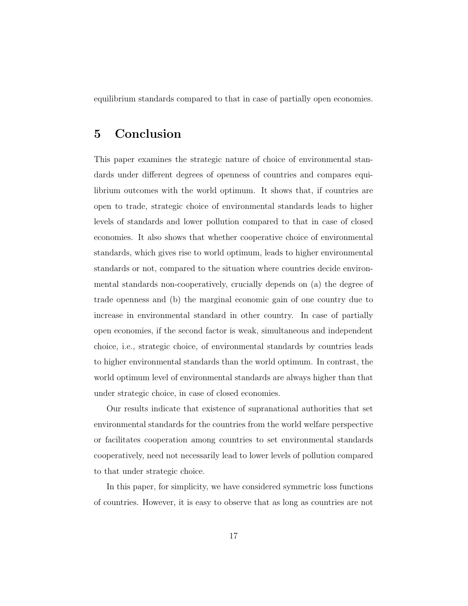equilibrium standards compared to that in case of partially open economies.

#### **5 Conclusion**

This paper examines the strategic nature of choice of environmental standards under different degrees of openness of countries and compares equilibrium outcomes with the world optimum. It shows that, if countries are open to trade, strategic choice of environmental standards leads to higher levels of standards and lower pollution compared to that in case of closed economies. It also shows that whether cooperative choice of environmental standards, which gives rise to world optimum, leads to higher environmental standards or not, compared to the situation where countries decide environmental standards non-cooperatively, crucially depends on (a) the degree of trade openness and (b) the marginal economic gain of one country due to increase in environmental standard in other country. In case of partially open economies, if the second factor is weak, simultaneous and independent choice, i.e., strategic choice, of environmental standards by countries leads to higher environmental standards than the world optimum. In contrast, the world optimum level of environmental standards are always higher than that under strategic choice, in case of closed economies.

Our results indicate that existence of supranational authorities that set environmental standards for the countries from the world welfare perspective or facilitates cooperation among countries to set environmental standards cooperatively, need not necessarily lead to lower levels of pollution compared to that under strategic choice.

In this paper, for simplicity, we have considered symmetric loss functions of countries. However, it is easy to observe that as long as countries are not